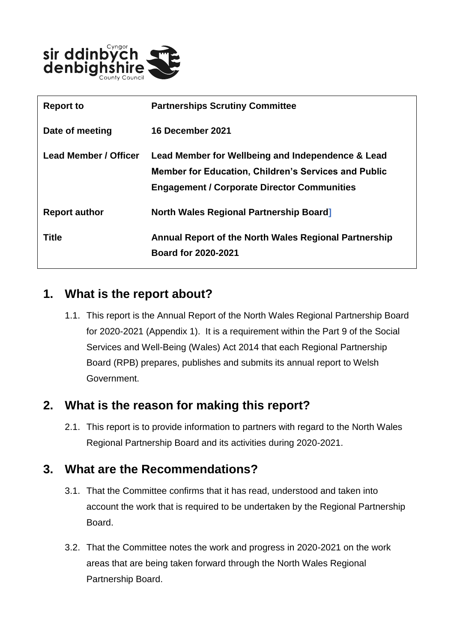

| <b>Report to</b>             | <b>Partnerships Scrutiny Committee</b>                                                                                                                                 |
|------------------------------|------------------------------------------------------------------------------------------------------------------------------------------------------------------------|
| Date of meeting              | <b>16 December 2021</b>                                                                                                                                                |
| <b>Lead Member / Officer</b> | Lead Member for Wellbeing and Independence & Lead<br><b>Member for Education, Children's Services and Public</b><br><b>Engagement / Corporate Director Communities</b> |
| <b>Report author</b>         | <b>North Wales Regional Partnership Board</b>                                                                                                                          |
| <b>Title</b>                 | Annual Report of the North Wales Regional Partnership<br><b>Board for 2020-2021</b>                                                                                    |

### **1. What is the report about?**

1.1. This report is the Annual Report of the North Wales Regional Partnership Board for 2020-2021 (Appendix 1). It is a requirement within the Part 9 of the Social Services and Well-Being (Wales) Act 2014 that each Regional Partnership Board (RPB) prepares, publishes and submits its annual report to Welsh Government.

#### **2. What is the reason for making this report?**

2.1. This report is to provide information to partners with regard to the North Wales Regional Partnership Board and its activities during 2020-2021.

#### **3. What are the Recommendations?**

- 3.1. That the Committee confirms that it has read, understood and taken into account the work that is required to be undertaken by the Regional Partnership Board.
- 3.2. That the Committee notes the work and progress in 2020-2021 on the work areas that are being taken forward through the North Wales Regional Partnership Board.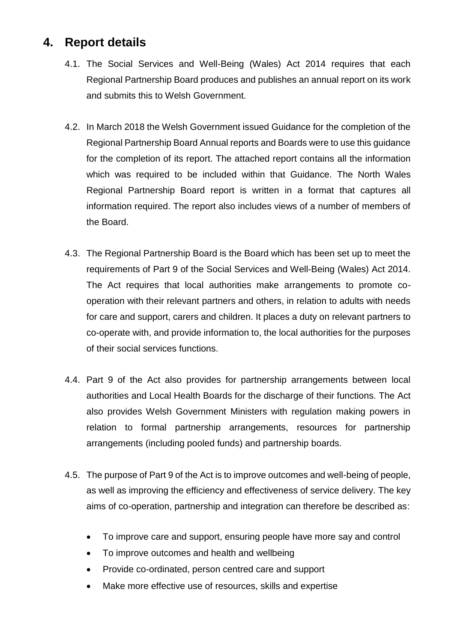## **4. Report details**

- 4.1. The Social Services and Well-Being (Wales) Act 2014 requires that each Regional Partnership Board produces and publishes an annual report on its work and submits this to Welsh Government.
- 4.2. In March 2018 the Welsh Government issued Guidance for the completion of the Regional Partnership Board Annual reports and Boards were to use this guidance for the completion of its report. The attached report contains all the information which was required to be included within that Guidance. The North Wales Regional Partnership Board report is written in a format that captures all information required. The report also includes views of a number of members of the Board.
- 4.3. The Regional Partnership Board is the Board which has been set up to meet the requirements of Part 9 of the Social Services and Well-Being (Wales) Act 2014. The Act requires that local authorities make arrangements to promote cooperation with their relevant partners and others, in relation to adults with needs for care and support, carers and children. It places a duty on relevant partners to co-operate with, and provide information to, the local authorities for the purposes of their social services functions.
- 4.4. Part 9 of the Act also provides for partnership arrangements between local authorities and Local Health Boards for the discharge of their functions. The Act also provides Welsh Government Ministers with regulation making powers in relation to formal partnership arrangements, resources for partnership arrangements (including pooled funds) and partnership boards.
- 4.5. The purpose of Part 9 of the Act is to improve outcomes and well-being of people, as well as improving the efficiency and effectiveness of service delivery. The key aims of co-operation, partnership and integration can therefore be described as:
	- To improve care and support, ensuring people have more say and control
	- To improve outcomes and health and wellbeing
	- Provide co-ordinated, person centred care and support
	- Make more effective use of resources, skills and expertise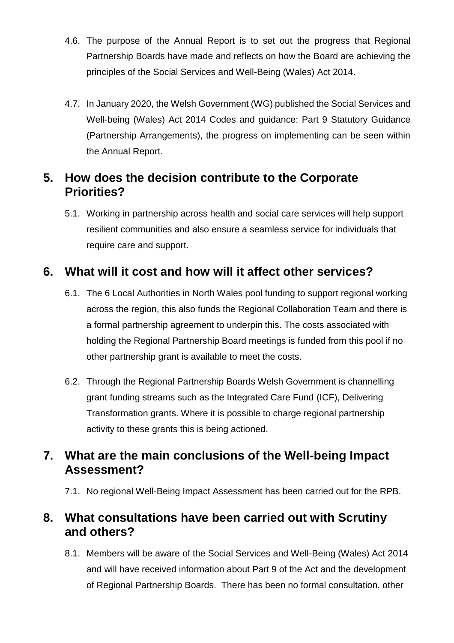- 4.6. The purpose of the Annual Report is to set out the progress that Regional Partnership Boards have made and reflects on how the Board are achieving the principles of the Social Services and Well-Being (Wales) Act 2014.
- 4.7. In January 2020, the Welsh Government (WG) published the Social Services and Well-being (Wales) Act 2014 Codes and guidance: Part 9 Statutory Guidance (Partnership Arrangements), the progress on implementing can be seen within the Annual Report.

## **5. How does the decision contribute to the Corporate Priorities?**

5.1. Working in partnership across health and social care services will help support resilient communities and also ensure a seamless service for individuals that require care and support.

# **6. What will it cost and how will it affect other services?**

- 6.1. The 6 Local Authorities in North Wales pool funding to support regional working across the region, this also funds the Regional Collaboration Team and there is a formal partnership agreement to underpin this. The costs associated with holding the Regional Partnership Board meetings is funded from this pool if no other partnership grant is available to meet the costs.
- 6.2. Through the Regional Partnership Boards Welsh Government is channelling grant funding streams such as the Integrated Care Fund (ICF), Delivering Transformation grants. Where it is possible to charge regional partnership activity to these grants this is being actioned.

## **7. What are the main conclusions of the Well-being Impact Assessment?**

7.1. No regional Well-Being Impact Assessment has been carried out for the RPB.

#### **8. What consultations have been carried out with Scrutiny and others?**

8.1. Members will be aware of the Social Services and Well-Being (Wales) Act 2014 and will have received information about Part 9 of the Act and the development of Regional Partnership Boards. There has been no formal consultation, other